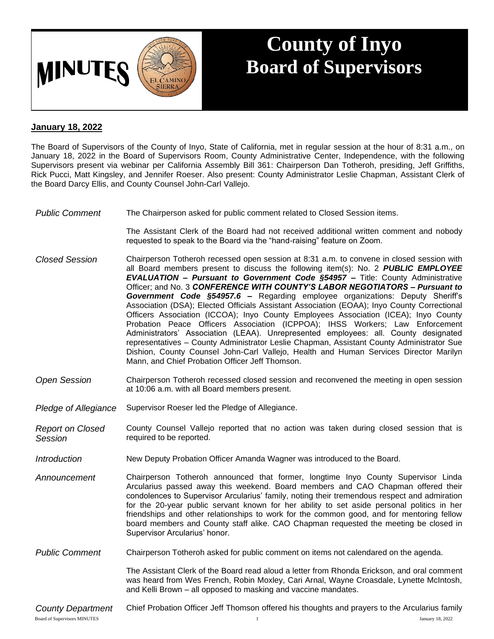

## **County of Inyo Board of Supervisors**

## **January 18, 2022**

The Board of Supervisors of the County of Inyo, State of California, met in regular session at the hour of 8:31 a.m., on January 18, 2022 in the Board of Supervisors Room, County Administrative Center, Independence, with the following Supervisors present via webinar per California Assembly Bill 361: Chairperson Dan Totheroh, presiding, Jeff Griffiths, Rick Pucci, Matt Kingsley, and Jennifer Roeser. Also present: County Administrator Leslie Chapman, Assistant Clerk of the Board Darcy Ellis, and County Counsel John-Carl Vallejo.

*Public Comment* The Chairperson asked for public comment related to Closed Session items.

The Assistant Clerk of the Board had not received additional written comment and nobody requested to speak to the Board via the "hand-raising" feature on Zoom.

- *Closed Session* Chairperson Totheroh recessed open session at 8:31 a.m. to convene in closed session with all Board members present to discuss the following item(s): No. 2 *PUBLIC EMPLOYEE EVALUATION – Pursuant to Government Code §54957 –* Title: County Administrative Officer; and No. 3 *CONFERENCE WITH COUNTY'S LABOR NEGOTIATORS – Pursuant to Government Code §54957.6 –* Regarding employee organizations: Deputy Sheriff's Association (DSA); Elected Officials Assistant Association (EOAA); Inyo County Correctional Officers Association (ICCOA); Inyo County Employees Association (ICEA); Inyo County Probation Peace Officers Association (ICPPOA); IHSS Workers; Law Enforcement Administrators' Association (LEAA). Unrepresented employees: all. County designated representatives – County Administrator Leslie Chapman, Assistant County Administrator Sue Dishion, County Counsel John-Carl Vallejo, Health and Human Services Director Marilyn Mann, and Chief Probation Officer Jeff Thomson.
- *Open Session* Chairperson Totheroh recessed closed session and reconvened the meeting in open session at 10:06 a.m. with all Board members present.
- *Pledge of Allegiance* Supervisor Roeser led the Pledge of Allegiance.
- *Report on Closed Session* County Counsel Vallejo reported that no action was taken during closed session that is required to be reported.
- *Introduction* New Deputy Probation Officer Amanda Wagner was introduced to the Board.
- *Announcement* Chairperson Totheroh announced that former, longtime Inyo County Supervisor Linda Arcularius passed away this weekend. Board members and CAO Chapman offered their condolences to Supervisor Arcularius' family, noting their tremendous respect and admiration for the 20-year public servant known for her ability to set aside personal politics in her friendships and other relationships to work for the common good, and for mentoring fellow board members and County staff alike. CAO Chapman requested the meeting be closed in Supervisor Arcularius' honor.
- *Public Comment* Chairperson Totheroh asked for public comment on items not calendared on the agenda.

The Assistant Clerk of the Board read aloud a letter from Rhonda Erickson, and oral comment was heard from Wes French, Robin Moxley, Cari Arnal, Wayne Croasdale, Lynette McIntosh, and Kelli Brown – all opposed to masking and vaccine mandates.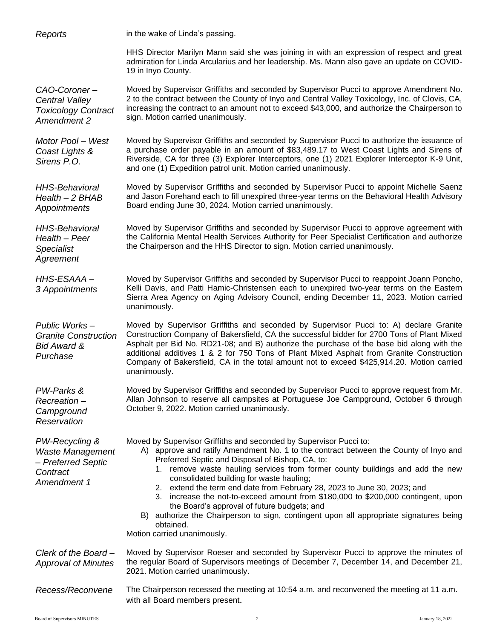| Reports                                                                                    | in the wake of Linda's passing.                                                                                                                                                                                                                                                                                                                                                                                                                                                                                                                                                                                                                                                                   |
|--------------------------------------------------------------------------------------------|---------------------------------------------------------------------------------------------------------------------------------------------------------------------------------------------------------------------------------------------------------------------------------------------------------------------------------------------------------------------------------------------------------------------------------------------------------------------------------------------------------------------------------------------------------------------------------------------------------------------------------------------------------------------------------------------------|
|                                                                                            | HHS Director Marilyn Mann said she was joining in with an expression of respect and great<br>admiration for Linda Arcularius and her leadership. Ms. Mann also gave an update on COVID-<br>19 in Inyo County.                                                                                                                                                                                                                                                                                                                                                                                                                                                                                     |
| CAO-Coroner-<br>Central Valley<br><b>Toxicology Contract</b><br>Amendment 2                | Moved by Supervisor Griffiths and seconded by Supervisor Pucci to approve Amendment No.<br>2 to the contract between the County of Inyo and Central Valley Toxicology, Inc. of Clovis, CA,<br>increasing the contract to an amount not to exceed \$43,000, and authorize the Chairperson to<br>sign. Motion carried unanimously.                                                                                                                                                                                                                                                                                                                                                                  |
| Motor Pool - West<br>Coast Lights &<br>Sirens P.O.                                         | Moved by Supervisor Griffiths and seconded by Supervisor Pucci to authorize the issuance of<br>a purchase order payable in an amount of \$83,489.17 to West Coast Lights and Sirens of<br>Riverside, CA for three (3) Explorer Interceptors, one (1) 2021 Explorer Interceptor K-9 Unit,<br>and one (1) Expedition patrol unit. Motion carried unanimously.                                                                                                                                                                                                                                                                                                                                       |
| <b>HHS-Behavioral</b><br>Health - 2 BHAB<br>Appointments                                   | Moved by Supervisor Griffiths and seconded by Supervisor Pucci to appoint Michelle Saenz<br>and Jason Forehand each to fill unexpired three-year terms on the Behavioral Health Advisory<br>Board ending June 30, 2024. Motion carried unanimously.                                                                                                                                                                                                                                                                                                                                                                                                                                               |
| <b>HHS-Behavioral</b><br>Health - Peer<br><b>Specialist</b><br>Agreement                   | Moved by Supervisor Griffiths and seconded by Supervisor Pucci to approve agreement with<br>the California Mental Health Services Authority for Peer Specialist Certification and authorize<br>the Chairperson and the HHS Director to sign. Motion carried unanimously.                                                                                                                                                                                                                                                                                                                                                                                                                          |
| HHS-ESAAA-<br>3 Appointments                                                               | Moved by Supervisor Griffiths and seconded by Supervisor Pucci to reappoint Joann Poncho,<br>Kelli Davis, and Patti Hamic-Christensen each to unexpired two-year terms on the Eastern<br>Sierra Area Agency on Aging Advisory Council, ending December 11, 2023. Motion carried<br>unanimously.                                                                                                                                                                                                                                                                                                                                                                                                   |
| Public Works-<br><b>Granite Construction</b><br><b>Bid Award &amp;</b><br>Purchase         | Moved by Supervisor Griffiths and seconded by Supervisor Pucci to: A) declare Granite<br>Construction Company of Bakersfield, CA the successful bidder for 2700 Tons of Plant Mixed<br>Asphalt per Bid No. RD21-08; and B) authorize the purchase of the base bid along with the<br>additional additives 1 & 2 for 750 Tons of Plant Mixed Asphalt from Granite Construction<br>Company of Bakersfield, CA in the total amount not to exceed \$425,914.20. Motion carried<br>unanimously.                                                                                                                                                                                                         |
| PW-Parks &<br>Recreation-<br>Campground<br>Reservation                                     | Moved by Supervisor Griffiths and seconded by Supervisor Pucci to approve request from Mr.<br>Allan Johnson to reserve all campsites at Portuguese Joe Campground, October 6 through<br>October 9, 2022. Motion carried unanimously.                                                                                                                                                                                                                                                                                                                                                                                                                                                              |
| PW-Recycling &<br><b>Waste Management</b><br>- Preferred Septic<br>Contract<br>Amendment 1 | Moved by Supervisor Griffiths and seconded by Supervisor Pucci to:<br>A) approve and ratify Amendment No. 1 to the contract between the County of Inyo and<br>Preferred Septic and Disposal of Bishop, CA, to:<br>1. remove waste hauling services from former county buildings and add the new<br>consolidated building for waste hauling;<br>2. extend the term end date from February 28, 2023 to June 30, 2023; and<br>3. increase the not-to-exceed amount from \$180,000 to \$200,000 contingent, upon<br>the Board's approval of future budgets; and<br>B) authorize the Chairperson to sign, contingent upon all appropriate signatures being<br>obtained.<br>Motion carried unanimously. |
| Clerk of the Board-<br><b>Approval of Minutes</b>                                          | Moved by Supervisor Roeser and seconded by Supervisor Pucci to approve the minutes of<br>the regular Board of Supervisors meetings of December 7, December 14, and December 21,<br>2021. Motion carried unanimously.                                                                                                                                                                                                                                                                                                                                                                                                                                                                              |
| Recess/Reconvene                                                                           | The Chairperson recessed the meeting at 10:54 a.m. and reconvened the meeting at 11 a.m.<br>with all Board members present.                                                                                                                                                                                                                                                                                                                                                                                                                                                                                                                                                                       |